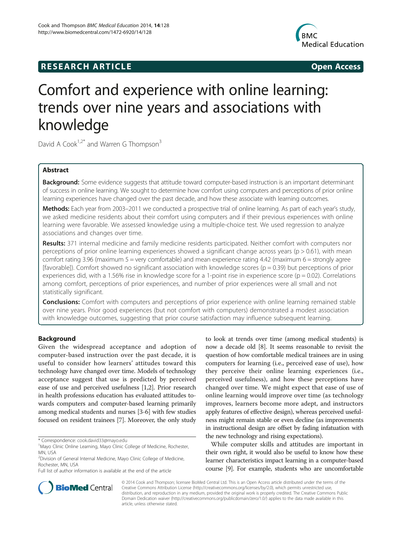## **RESEARCH ARTICLE Example 2014 The SEAR CH ACCESS**



# Comfort and experience with online learning: trends over nine years and associations with knowledge

David A Cook<sup>1,2\*</sup> and Warren G Thompson<sup>3</sup>

## Abstract

Background: Some evidence suggests that attitude toward computer-based instruction is an important determinant of success in online learning. We sought to determine how comfort using computers and perceptions of prior online learning experiences have changed over the past decade, and how these associate with learning outcomes.

Methods: Each year from 2003–2011 we conducted a prospective trial of online learning. As part of each year's study, we asked medicine residents about their comfort using computers and if their previous experiences with online learning were favorable. We assessed knowledge using a multiple-choice test. We used regression to analyze associations and changes over time.

Results: 371 internal medicine and family medicine residents participated. Neither comfort with computers nor perceptions of prior online learning experiences showed a significant change across years (p > 0.61), with mean comfort rating 3.96 (maximum 5 = very comfortable) and mean experience rating 4.42 (maximum 6 = strongly agree [favorable]). Comfort showed no significant association with knowledge scores (p = 0.39) but perceptions of prior experiences did, with a 1.56% rise in knowledge score for a 1-point rise in experience score ( $p = 0.02$ ). Correlations among comfort, perceptions of prior experiences, and number of prior experiences were all small and not statistically significant.

**Conclusions:** Comfort with computers and perceptions of prior experience with online learning remained stable over nine years. Prior good experiences (but not comfort with computers) demonstrated a modest association with knowledge outcomes, suggesting that prior course satisfaction may influence subsequent learning.

## Background

Given the widespread acceptance and adoption of computer-based instruction over the past decade, it is useful to consider how learners' attitudes toward this technology have changed over time. Models of technology acceptance suggest that use is predicted by perceived ease of use and perceived usefulness [[1,2\]](#page-4-0). Prior research in health professions education has evaluated attitudes towards computers and computer-based learning primarily among medical students and nurses [[3-6\]](#page-4-0) with few studies focused on resident trainees [\[7](#page-4-0)]. Moreover, the only study

\* Correspondence: [cook.david33@mayo.edu](mailto:cook.david33@mayo.edu) <sup>1</sup>

Full list of author information is available at the end of the article

to look at trends over time (among medical students) is now a decade old [\[8\]](#page-4-0). It seems reasonable to revisit the question of how comfortable medical trainees are in using computers for learning (i.e., perceived ease of use), how they perceive their online learning experiences (i.e., perceived usefulness), and how these perceptions have changed over time. We might expect that ease of use of online learning would improve over time (as technology improves, learners become more adept, and instructors apply features of effective design), whereas perceived usefulness might remain stable or even decline (as improvements in instructional design are offset by fading infatuation with the new technology and rising expectations).

While computer skills and attitudes are important in their own right, it would also be useful to know how these learner characteristics impact learning in a computer-based course [\[9](#page-4-0)]. For example, students who are uncomfortable



© 2014 Cook and Thompson; licensee BioMed Central Ltd. This is an Open Access article distributed under the terms of the Creative Commons Attribution License (<http://creativecommons.org/licenses/by/2.0>), which permits unrestricted use, distribution, and reproduction in any medium, provided the original work is properly credited. The Creative Commons Public Domain Dedication waiver [\(http://creativecommons.org/publicdomain/zero/1.0/\)](http://creativecommons.org/publicdomain/zero/1.0/) applies to the data made available in this article, unless otherwise stated.

<sup>&</sup>lt;sup>1</sup>Mayo Clinic Online Learning, Mayo Clinic College of Medicine, Rochester, MN, USA

<sup>&</sup>lt;sup>2</sup> Division of General Internal Medicine, Mayo Clinic College of Medicine, Rochester, MN, USA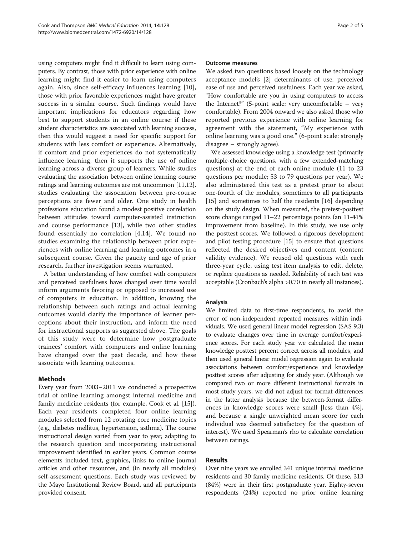using computers might find it difficult to learn using computers. By contrast, those with prior experience with online learning might find it easier to learn using computers again. Also, since self-efficacy influences learning [\[10](#page-4-0)], those with prior favorable experiences might have greater success in a similar course. Such findings would have important implications for educators regarding how best to support students in an online course: if these student characteristics are associated with learning success, then this would suggest a need for specific support for students with less comfort or experience. Alternatively, if comfort and prior experiences do not systematically influence learning, then it supports the use of online learning across a diverse group of learners. While studies evaluating the association between online learning course ratings and learning outcomes are not uncommon [\[11,12](#page-4-0)], studies evaluating the association between pre-course perceptions are fewer and older. One study in health professions education found a modest positive correlation between attitudes toward computer-assisted instruction and course performance [[13\]](#page-4-0), while two other studies found essentially no correlation [\[4,14](#page-4-0)]. We found no studies examining the relationship between prior experiences with online learning and learning outcomes in a subsequent course. Given the paucity and age of prior research, further investigation seems warranted.

A better understanding of how comfort with computers and perceived usefulness have changed over time would inform arguments favoring or opposed to increased use of computers in education. In addition, knowing the relationship between such ratings and actual learning outcomes would clarify the importance of learner perceptions about their instruction, and inform the need for instructional supports as suggested above. The goals of this study were to determine how postgraduate trainees' comfort with computers and online learning have changed over the past decade, and how these associate with learning outcomes.

## Methods

Every year from 2003–2011 we conducted a prospective trial of online learning amongst internal medicine and family medicine residents (for example, Cook et al. [[15](#page-4-0)]). Each year residents completed four online learning modules selected from 12 rotating core medicine topics (e.g., diabetes mellitus, hypertension, asthma). The course instructional design varied from year to year, adapting to the research question and incorporating instructional improvement identified in earlier years. Common course elements included text, graphics, links to online journal articles and other resources, and (in nearly all modules) self-assessment questions. Each study was reviewed by the Mayo Institutional Review Board, and all participants provided consent.

#### Outcome measures

We asked two questions based loosely on the technology acceptance model's [\[2](#page-4-0)] determinants of use: perceived ease of use and perceived usefulness. Each year we asked, "How comfortable are you in using computers to access the Internet?" (5-point scale: very uncomfortable – very comfortable). From 2004 onward we also asked those who reported previous experience with online learning for agreement with the statement, "My experience with online learning was a good one." (6-point scale: strongly disagree – strongly agree).

We assessed knowledge using a knowledge test (primarily multiple-choice questions, with a few extended-matching questions) at the end of each online module (11 to 23 questions per module; 53 to 79 questions per year). We also administered this test as a pretest prior to about one-fourth of the modules, sometimes to all participants [[15](#page-4-0)] and sometimes to half the residents [\[16\]](#page-4-0) depending on the study design. When measured, the pretest-posttest score change ranged 11–22 percentage points (an 11-41% improvement from baseline). In this study, we use only the posttest scores. We followed a rigorous development and pilot testing procedure [[15](#page-4-0)] to ensure that questions reflected the desired objectives and content (content validity evidence). We reused old questions with each three-year cycle, using test item analysis to edit, delete, or replace questions as needed. Reliability of each test was acceptable (Cronbach's alpha >0.70 in nearly all instances).

## Analysis

We limited data to first-time respondents, to avoid the error of non-independent repeated measures within individuals. We used general linear model regression (SAS 9.3) to evaluate changes over time in average comfort/experience scores. For each study year we calculated the mean knowledge posttest percent correct across all modules, and then used general linear model regression again to evaluate associations between comfort/experience and knowledge posttest scores after adjusting for study year. (Although we compared two or more different instructional formats in most study years, we did not adjust for format differences in the latter analysis because the between-format differences in knowledge scores were small [less than 4%], and because a single unweighted mean score for each individual was deemed satisfactory for the question of interest). We used Spearman's rho to calculate correlation between ratings.

## Results

Over nine years we enrolled 341 unique internal medicine residents and 30 family medicine residents. Of these, 313 (84%) were in their first postgraduate year. Eighty-seven respondents (24%) reported no prior online learning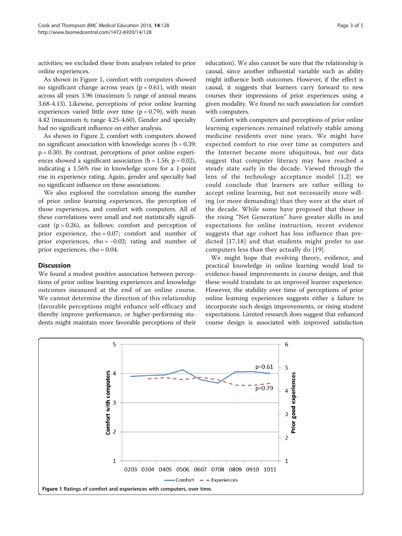activities; we excluded these from analyses related to prior online experiences.

As shown in Figure 1, comfort with computers showed no significant change across years ( $p = 0.61$ ), with mean across all years 3.96 (maximum 5; range of annual means 3.68-4.13). Likewise, perceptions of prior online learning experiences varied little over time  $(p = 0.79)$ , with mean 4.42 (maximum 6; range 4.25-4.60). Gender and specialty had no significant influence on either analysis.

As shown in Figure [2,](#page-3-0) comfort with computers showed no significant association with knowledge scores ( $b = 0.39$ ;  $p = 0.30$ . By contrast, perceptions of prior online experiences showed a significant association ( $b = 1.56$ ;  $p = 0.02$ ), indicating a 1.56% rise in knowledge score for a 1-point rise in experience rating. Again, gender and specialty had no significant influence on these associations.

We also explored the correlation among the number of prior online learning experiences, the perception of those experiences, and comfort with computers. All of these correlations were small and not statistically significant  $(p > 0.26)$ , as follows: comfort and perception of prior experience, rho = 0.07; comfort and number of prior experiences, rho =  $-0.02$ ; rating and number of prior experiences, rho = 0.04.

## Discussion

We found a modest positive association between perceptions of prior online learning experiences and knowledge outcomes measured at the end of an online course. We cannot determine the direction of this relationship (favorable perceptions might enhance self-efficacy and thereby improve performance, or higher-performing students might maintain more favorable perceptions of their

education). We also cannot be sure that the relationship is causal, since another influential variable such as ability might influence both outcomes. However, if the effect is causal, it suggests that learners carry forward to new courses their impressions of prior experiences using a given modality. We found no such association for comfort with computers.

Comfort with computers and perceptions of prior online learning experiences remained relatively stable among medicine residents over nine years. We might have expected comfort to rise over time as computers and the Internet became more ubiquitous, but our data suggest that computer literacy may have reached a steady state early in the decade. Viewed through the lens of the technology acceptance model [[1,2](#page-4-0)] we could conclude that learners are rather willing to accept online learning, but not necessarily more willing (or more demanding) than they were at the start of the decade. While some have proposed that those in the rising "Net Generation" have greater skills in and expectations for online instruction, recent evidence suggests that age cohort has less influence than predicted [[17,18\]](#page-4-0) and that students might prefer to use computers less than they actually do [\[19\]](#page-4-0).

We might hope that evolving theory, evidence, and practical knowledge in online learning would lead to evidence-based improvements in course design, and that these would translate to an improved learner experience. However, the stability over time of perceptions of prior online learning experiences suggests either a failure to incorporate such design improvements, or rising student expectations. Limited research does suggest that enhanced course design is associated with improved satisfaction

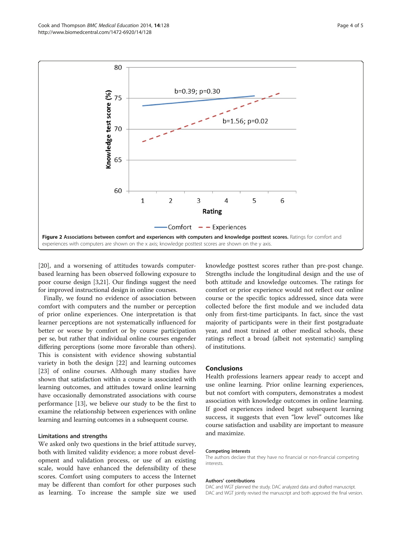<span id="page-3-0"></span>

[[20\]](#page-4-0), and a worsening of attitudes towards computerbased learning has been observed following exposure to poor course design [\[3,21\]](#page-4-0). Our findings suggest the need for improved instructional design in online courses.

Finally, we found no evidence of association between comfort with computers and the number or perception of prior online experiences. One interpretation is that learner perceptions are not systematically influenced for better or worse by comfort or by course participation per se, but rather that individual online courses engender differing perceptions (some more favorable than others). This is consistent with evidence showing substantial variety in both the design [[22](#page-4-0)] and learning outcomes [[23\]](#page-4-0) of online courses. Although many studies have shown that satisfaction within a course is associated with learning outcomes, and attitudes toward online learning have occasionally demonstrated associations with course performance [\[13\]](#page-4-0), we believe our study to be the first to examine the relationship between experiences with online learning and learning outcomes in a subsequent course.

#### Limitations and strengths

We asked only two questions in the brief attitude survey, both with limited validity evidence; a more robust development and validation process, or use of an existing scale, would have enhanced the defensibility of these scores. Comfort using computers to access the Internet may be different than comfort for other purposes such as learning. To increase the sample size we used

knowledge posttest scores rather than pre-post change. Strengths include the longitudinal design and the use of both attitude and knowledge outcomes. The ratings for comfort or prior experience would not reflect our online course or the specific topics addressed, since data were collected before the first module and we included data only from first-time participants. In fact, since the vast majority of participants were in their first postgraduate year, and most trained at other medical schools, these ratings reflect a broad (albeit not systematic) sampling of institutions.

#### Conclusions

Health professions learners appear ready to accept and use online learning. Prior online learning experiences, but not comfort with computers, demonstrates a modest association with knowledge outcomes in online learning. If good experiences indeed beget subsequent learning success, it suggests that even "low level" outcomes like course satisfaction and usability are important to measure and maximize.

#### Competing interests

The authors declare that they have no financial or non-financial competing interests.

#### Authors' contributions

DAC and WGT planned the study. DAC analyzed data and drafted manuscript. DAC and WGT jointly revised the manuscript and both approved the final version.